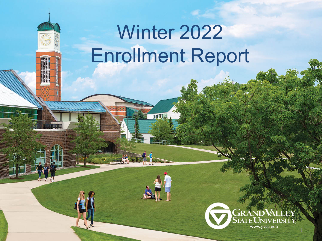# Winter 2022 Enrollment Report

THEFT

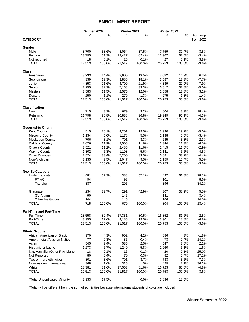#### **ENROLLMENT REPORT**

|                                | <b>Winter 2020</b> |        | Winter 2021 |                | <b>Winter 2022</b> |                |                  |
|--------------------------------|--------------------|--------|-------------|----------------|--------------------|----------------|------------------|
|                                | #                  | %      | #           | %              | #                  | %              | %change          |
| <b>CATEGORY</b>                |                    |        |             |                |                    |                | from 2021        |
| Gender                         |                    |        |             |                |                    |                |                  |
| Male                           | 8,700              | 38.6%  | 8,064       | 37.5%          | 7,759              | 37.4%          | $-3.8%$          |
| Female                         | 13,795             | 61.3%  | 13,427      | 62.4%          | 12,967             | 62.5%          | $-3.4%$          |
| Not reported                   | 18                 | 0.1%   | 26          | 0.1%           | 27                 | 0.1%           | 3.8%             |
| <b>TOTAL</b>                   | 22,513             | 100.0% | 21,517      | 100.0%         | 20,753             | 100.0%         | $-3.6%$          |
|                                |                    |        |             |                |                    |                |                  |
| <b>Class</b>                   |                    |        |             |                |                    |                |                  |
| Freshman                       | 3,233              | 14.4%  | 2,900       | 13.5%          | 3,082              | 14.9%          | 6.3%             |
| Sophomore                      | 4,339              | 19.3%  | 3,886       | 18.1%          | 3,587              | 17.3%          | $-7.7%$          |
| Junior                         | 4,853              | 21.6%  | 4,709       | 21.9%          | 4,339              | 20.9%          | $-7.9%$          |
| Senior                         | 7,255              | 32.2%  | 7,168       | 33.3%          | 6,812              | 32.8%          | $-5.0%$          |
| <b>Masters</b>                 | 2,583              | 11.5%  | 2,575       | 12.0%          | 2,658              | 12.8%          | 3.2%             |
| Doctoral                       | 250                | 1.1%   | 279         | 1.3%           | 275                | 1.3%           | $-1.4%$          |
| <b>TOTAL</b>                   | 22,513             | 100.0% | 21,517      | 100.0%         | 20,753             | 100.0%         | $-3.6%$          |
| <b>Classification</b>          |                    |        |             |                |                    |                |                  |
| <b>New</b>                     |                    |        |             | 3.2%           | 804                |                |                  |
|                                | 715                | 3.2%   | 679         |                |                    | 3.9%           | 18.4%<br>$-4.3%$ |
| Returning                      | 21,798             | 96.8%  | 20,838      | 96.8%          | 19,949             | 96.1%          |                  |
| <b>TOTAL</b>                   | 22,513             | 100.0% | 21,517      | 100.0%         | 20,753             | 100.0%         | $-3.6%$          |
| Geographic Origin              |                    |        |             |                |                    |                |                  |
| Kent County                    | 4,515              | 20.1%  | 4,201       | 19.5%          | 3,990              | 19.2%          | $-5.0%$          |
| <b>Macomb County</b>           | 1,134              | 5.0%   | 1,178       | 5.5%           | 1,138              | 5.5%           | $-3.4%$          |
| Muskegon County                | 706                | 3.1%   | 701         | 3.3%           | 685                | 3.3%           | $-2.3%$          |
| Oakland County                 | 2,676              | 11.9%  | 2,506       | 11.6%          | 2,344              | 11.3%          | $-6.5%$          |
| <b>Ottawa County</b>           | 2,521              | 11.2%  | 2,486       | 11.6%          | 2,415              | 11.6%          | $-2.9%$          |
| <b>Wayne County</b>            | 1,302              | 5.8%   | 1,198       | 5.6%           | 1,141              | 5.5%           | $-4.8%$          |
| <b>Other Counties</b>          | 7,524              | 33.4%  | 7,200       | 33.5%          | 6,881              | 33.2%          | $-4.4%$          |
| Non-Michigan                   | 2,135              | 9.5%   | 2,047       | 9.5%           | 2,159              | 10.4%          | 5.5%             |
| <b>TOTAL</b>                   | 22,513             | 100.0% | 21,517      | 100.0%         | 20,753             | 100.0%         | $-3.6%$          |
| <b>New By Category</b>         |                    |        |             |                |                    |                |                  |
| Undergraduate                  | 481                | 67.3%  | 388         | 57.1%          | 497                | 61.8%          | 28.1%            |
|                                |                    |        |             |                |                    |                |                  |
| <b>FTIAC</b>                   | 94                 |        | 93          |                | 101                |                | 8.6%             |
| Transfer                       | 387                |        | 295         |                | 396                |                | 34.2%            |
| Graduate                       | 234                | 32.7%  | 291         | 42.9%          | 307                | 38.2%          | 5.5%             |
| <b>GV Alumni</b>               | 90                 |        | 146         |                | 141                |                | $-3.4%$          |
| <b>Other Institutions</b>      | <u>144</u>         |        | <u>145</u>  |                | 166                |                | 14.5%            |
| <b>TOTAL</b>                   | 715                | 100.0% | 679         | 100.0%         | 804                | 100.0%         | 18.4%            |
|                                |                    |        |             |                |                    |                |                  |
| <b>Full-Time and Part-Time</b> |                    |        |             |                |                    |                |                  |
| Full-Time                      | 18,558             | 82.4%  | 17,331      | 80.5%<br>19.5% | 16,852             | 81.2%<br>18.8% | $-2.8%$          |
| Part-Time                      | 3,955              | 17.6%  | 4,186       |                | 3,901              |                | $-6.8%$          |
| <b>TOTAL</b>                   | 22,513             | 100.0% | 21,517      | 100.0%         | 20,753             | 100.0%         | $-3.6%$          |
| <b>Ethnic Groups</b>           |                    |        |             |                |                    |                |                  |
| African American or Black      | 970                | 4.3%   | 902         | 4.2%           | 886                | 4.3%           | $-1.8%$          |
| Amer. Indian/Alaskan Native    | 77                 | 0.3%   | 85          | 0.4%           | 73                 | 0.4%           | $-14.1%$         |
| Asian                          | 545                | 2.4%   | 535         | 2.5%           | 547                | 2.6%           | 2.2%             |
| Hispanic or Latino             | 1,273              | 5.7%   | 1,240       | 5.8%           | 1,260              | 6.1%           | 1.6%             |
| Nat. Hawaiian/Other Pac Island | 18                 | 0.1%   | 16          | 0.1%           | 20                 | 0.1%           | 25.0%            |
| Not Reported                   | 80                 | 0.4%   | 70          | 0.3%           | 82                 | 0.4%           | 17.1%            |
| Two or more ethnicities        | 801                | 3.6%   | 791         | 3.7%           | 733                | 3.5%           | $-7.3%$          |
| Non-resident International     | 368                | 1.6%   | 315         | 1.5%           | 429                | 2.1%           | 36.2%            |
| White                          | 18,381             | 81.6%  | 17,563      | 81.6%          | 16,723             | 80.6%          | $-4.8%$          |
| <b>TOTAL</b>                   | 22,513             | 100.0% | 21,517      | 100.0%         | 20,753             | 100.0%         | $-3.6%$          |
| *Total Unduplicated Minority   | 3,933              | 17.5%  |             | 0.0%           |                    |                |                  |
|                                |                    |        |             |                | 3,836              | 18.5%          |                  |

\*Total will be different from the sum of ethnicities because international students of color are included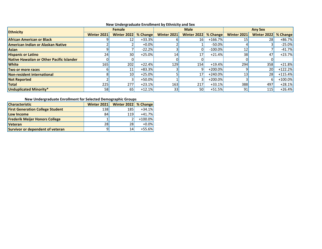| <b>Ethnicity</b>                          | <b>Female</b>      |                 |          |                 | <b>Male</b>        |            | <b>Any Sex</b>     |                    |           |  |
|-------------------------------------------|--------------------|-----------------|----------|-----------------|--------------------|------------|--------------------|--------------------|-----------|--|
|                                           | <b>Winter 2021</b> | Winter 2022     | % Change | Winter 2021     | <b>Winter 2022</b> | % Change   | <b>Winter 2021</b> | <b>Winter 2022</b> | % Change  |  |
| <b>African American or Black</b>          |                    | 12              | $+33.3%$ |                 | 16                 | $+166.7%$  | 15                 | 28                 | $+86.7%$  |  |
| American Indian or Alaskan Native         |                    |                 | $+0.0%$  |                 |                    | $-50.0\%$  |                    |                    | $-25.0%$  |  |
| Asian                                     |                    |                 | $-22.2%$ |                 |                    | $-100.0\%$ | 12                 |                    | $-41.7%$  |  |
| <b>Hispanic or Latino</b>                 | 24 <sup>°</sup>    | 30l             | $+25.0%$ | 14              | 17 <sub>1</sub>    | $+21.4%$   | 38                 | 47                 | $+23.7%$  |  |
| Native Hawaiian or Other Pacific Islander |                    |                 |          |                 |                    |            |                    |                    |           |  |
| <b>White</b>                              | <b>165</b>         | 202             | $+22.4%$ | 129             | 154                | $+19.4%$   | 294                | 358                | $+21.8%$  |  |
| Two or more races                         |                    | 11              | $+83.3%$ |                 |                    | $+200.0\%$ |                    | 201                | $+122.2%$ |  |
| Non-resident international                |                    | 10 <sub>l</sub> | $+25.0%$ |                 | 17                 | $+240.0\%$ | 13                 | 281                | $+115.4%$ |  |
| <b>Not Reported</b>                       |                    |                 | $+50.0%$ |                 |                    | $+200.0\%$ |                    |                    | $+100.0%$ |  |
| <b>Total</b>                              | <b>225</b>         | 277             | $+23.1%$ | 163             | 217                | $+33.1%$   | 388                | 497                | $+28.1%$  |  |
| Unduplicated Minority*                    | 58                 | 65              | $+12.1%$ | 33 <sup>1</sup> | 50                 | $+51.5%$   | 91                 | 115                | $+26.4%$  |  |

#### **New Undergraduate Enrollment by Ethnicity and Sex**

#### **New Undergraduate Enrollment for Selected Demographic Groups**

| <b>Characteristic</b>                   | Winter 2021 | Winter 2022   % Change |           |
|-----------------------------------------|-------------|------------------------|-----------|
| <b>First Generation College Student</b> | <b>138</b>  | 185 <sup>I</sup>       | $+34.1%$  |
| Low Income                              | 84          | <b>119</b>             | $+41.7%$  |
| <b>Frederik Meijer Honors College</b>   |             |                        | $+100.0%$ |
| <b>Veteran</b>                          | 28          | 28I                    | $+0.0%$   |
| Survivor or dependent of veteran        |             | 14                     | $+55.6%$  |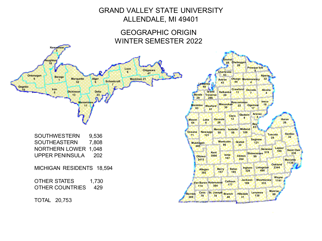# GRAND VALLEY STATE UNIVERSITY ALLENDALE, MI 49401

## GEOGRAPHIC ORIGIN WINTER SEMESTER 2022



**Emmet 88 Cheboygan <sup>26</sup> Presque Isle <sup>8</sup> Charlevoix 63 Antrim 43 Otsego Montmorency 44 4 Alpena 32 Leelanau 49 Benzie 29 Grand Traverse 286 Kalkaska 20 Crawford <sup>11</sup> Oscoda 7 Alcona 4 Manistee <sup>63</sup> Wexford 61 Missaukee Roscommon 22 Ogemaw 30 17 Iosco 18 Mason 64 Lake 8 Osceola 26 Clare 12 Gladwin 9 Arenac 4 Oceana 71 Newaygo 121 Mecosta 50 Isabella 58 Midland 109 Clinton 204 Bay 83 Huron 26 Muskegon 685 Montcalm 86 Kent**<br>3990  $Ottawa$ **2415 Allegan 382 Ionia 167 Gratiot 33 Saginaw 121 Shiawassee 519 99 Genesee Tuscola 24 Sanilac 32 Lapeer Saint Clair 230 Barry 157 Eaton 185 Ingham 328 Livingston 498 Oakland 2344 Macomb 1138 Wayne Washtenaw <sup>1141</sup> <sup>333</sup> Jackson <sup>189</sup> Calhoun <sup>177</sup> Kalamazoo Van Buren 384 114 Berrien 289 Cass St. Joseph 79 <sup>78</sup> Branch 48 Hillsdale 31 Lenawee 138 Monroe 88**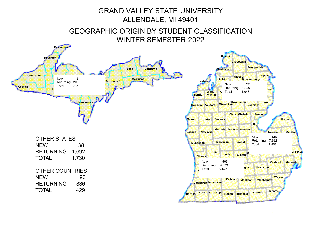## GRAND VALLEY STATE UNIVERSITY ALLENDALE, MI 49401

GEOGRAPHIC ORIGIN BY STUDENT CLASSIFICATION WINTER SEMESTER 2022

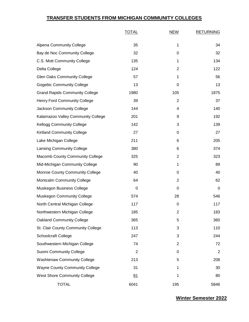#### **TRANSFER STUDENTS FROM MICHIGAN COMMUNITY COLLEGES**

|                                        | <b>TOTAL</b>   | <b>NEW</b>     | <b>RETURNING</b> |
|----------------------------------------|----------------|----------------|------------------|
| <b>Alpena Community College</b>        | 35             | 1              | 34               |
| Bay de Noc Community College           | 32             | 0              | 32               |
| C.S. Mott Community College            | 135            | 1              | 134              |
| Delta College                          | 124            | $\overline{c}$ | 122              |
| <b>Glen Oaks Community College</b>     | 57             | 1              | 56               |
| <b>Gogebic Community College</b>       | 13             | 0              | 13               |
| <b>Grand Rapids Community College</b>  | 1980           | 105            | 1875             |
| <b>Henry Ford Community College</b>    | 39             | $\overline{2}$ | 37               |
| Jackson Community College              | 144            | 4              | 140              |
| Kalamazoo Valley Community College     | 201            | 9              | 192              |
| <b>Kellogg Community College</b>       | 142            | 3              | 139              |
| <b>Kirtland Community College</b>      | 27             | 0              | 27               |
| Lake Michigan College                  | 211            | 6              | 205              |
| <b>Lansing Community College</b>       | 380            | 6              | 374              |
| <b>Macomb County Community College</b> | 325            | 2              | 323              |
| Mid-Michigan Community College         | 90             | 1              | 89               |
| <b>Monroe County Community College</b> | 40             | 0              | 40               |
| Montcalm Community College             | 64             | 2              | 62               |
| Muskegon Business College              | 0              | 0              | 0                |
| <b>Muskegon Community College</b>      | 574            | 28             | 546              |
| North Central Michigan College         | 117            | 0              | 117              |
| Northwestern Michigan College          | 185            | $\overline{c}$ | 183              |
| <b>Oakland Community College</b>       | 365            | 5              | 360              |
| St. Clair County Community College     | 113            | 3              | 110              |
| <b>Schoolcraft College</b>             | 247            | 3              | 244              |
| Southwestern Michigan College          | 74             | $\overline{c}$ | 72               |
| Suomi Community College                | $\overline{2}$ | 0              | $\overline{2}$   |
| <b>Washtenaw Community College</b>     | 213            | 5              | 208              |
| <b>Wayne County Community College</b>  | 31             | 1              | 30               |
| <b>West Shore Community College</b>    | 81             | 1              | 80               |
| <b>TOTAL</b>                           | 6041           | 195            | 5846             |

**Winter Semester 2022**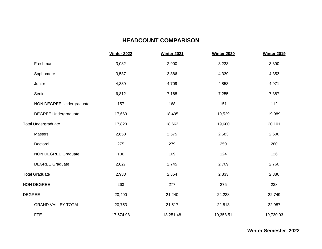#### **HEADCOUNT COMPARISON**

|                             | <b>Winter 2022</b> | <b>Winter 2021</b> | <b>Winter 2020</b> | <b>Winter 2019</b> |
|-----------------------------|--------------------|--------------------|--------------------|--------------------|
| Freshman                    | 3,082              | 2,900              | 3,233              | 3,390              |
| Sophomore                   | 3,587              | 3,886              | 4,339              | 4,353              |
| Junior                      | 4,339              | 4,709              | 4,853              | 4,971              |
| Senior                      | 6,812              | 7,168              | 7,255              | 7,387              |
| NON DEGREE Undergraduate    | 157                | 168                | 151                | 112                |
| <b>DEGREE Undergraduate</b> | 17,663             | 18,495             | 19,529             | 19,989             |
| <b>Total Undergraduate</b>  | 17,820             | 18,663             | 19,680             | 20,101             |
| Masters                     | 2,658              | 2,575              | 2,583              | 2,606              |
| Doctoral                    | 275                | 279                | 250                | 280                |
| <b>NON DEGREE Graduate</b>  | 106                | 109                | 124                | 126                |
| <b>DEGREE Graduate</b>      | 2,827              | 2,745              | 2,709              | 2,760              |
| <b>Total Graduate</b>       | 2,933              | 2,854              | 2,833              | 2,886              |
| <b>NON DEGREE</b>           | 263                | 277                | 275                | 238                |
| <b>DEGREE</b>               | 20,490             | 21,240             | 22,238             | 22,749             |
| <b>GRAND VALLEY TOTAL</b>   | 20,753             | 21,517             | 22,513             | 22,987             |
| <b>FTE</b>                  | 17,574.98          | 18,251.48          | 19,358.51          | 19,730.93          |

**Winter Semester 2022**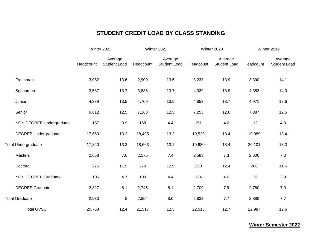## **STUDENT CREDIT LOAD BY CLASS STANDING**

|                             | <b>Winter 2022</b> |                         |           | Winter 2021                    |           | Winter 2020                    | <b>Winter 2019</b> |                                |  |
|-----------------------------|--------------------|-------------------------|-----------|--------------------------------|-----------|--------------------------------|--------------------|--------------------------------|--|
|                             | Headcount          | Average<br>Student Load | Headcount | Average<br><b>Student Load</b> | Headcount | Average<br><b>Student Load</b> | Headcount          | Average<br><b>Student Load</b> |  |
| Freshman                    | 3,082              | 13.6                    | 2,900     | 13.5                           | 3,233     | 13.9                           | 3,390              | 14.1                           |  |
| Sophomore                   | 3,587              | 13.7                    | 3,886     | 13.7                           | 4,339     | 13.9                           | 4,353              | 14.0                           |  |
| Junior                      | 4,339              | 13.5                    | 4,709     | 13.5                           | 4,853     | 13.7                           | 4,971              | 13.6                           |  |
| Senior                      | 6,812              | 12.5                    | 7,168     | 12.5                           | 7,255     | 12.6                           | 7,387              | 12.5                           |  |
| NON DEGREE Undergraduate    | 157                | 3.9                     | 168       | 4.4                            | 151       | 4.6                            | 112                | 4.8                            |  |
| <b>DEGREE Undergraduate</b> | 17,663             | 13.2                    | 18,495    | 13.2                           | 19,529    | 13.4                           | 19,989             | 13.4                           |  |
| <b>Total Undergraduate</b>  | 17,820             | 13.2                    | 18,663    | 13.2                           | 19,680    | 13.4                           | 20,101             | 13.3                           |  |
| <b>Masters</b>              | 2,658              | 7.6                     | 2,575     | 7.4                            | 2,583     | 7.3                            | 2,606              | 7.3                            |  |
| Doctoral                    | 275                | 11.9                    | 279       | 12.9                           | 250       | 12.4                           | 280                | 11.6                           |  |
| <b>NON DEGREE Graduate</b>  | 106                | 4.7                     | 109       | 4.4                            | 124       | 4.6                            | 126                | 3.9                            |  |
| <b>DEGREE Graduate</b>      | 2,827              | 8.1                     | 2,745     | 8.1                            | 2,709     | 7.9                            | 2,760              | 7.9                            |  |
| <b>Total Graduate</b>       | 2,933              | 8                       | 2,854     | 8.0                            | 2,833     | 7.7                            | 2,886              | 7.7                            |  |
| <b>Total GVSU</b>           | 20,753             | 12.4                    | 21,517    | 12.5                           | 22,513    | 12.7                           | 22,987             | 12.6                           |  |

**Winter Semester 2022**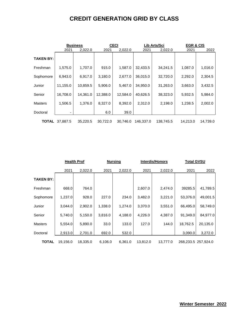## **CREDIT GENERATION GRID BY CLASS**

|                  |          | <b>Business</b> |          | <b>CECI</b> |           | Lib Arts/Sci |          | <b>EGR &amp; CIS</b> |  |  |
|------------------|----------|-----------------|----------|-------------|-----------|--------------|----------|----------------------|--|--|
|                  | 2021     | 2,022.0         | 2021     | 2,022.0     | 2021      | 2,022.0      | 2021     | 2022                 |  |  |
| <b>TAKEN BY:</b> |          |                 |          |             |           |              |          |                      |  |  |
| Freshman         | 1,575.0  | 1,707.0         | 915.0    | 1,587.0     | 32,433.5  | 34,241.5     | 1,087.0  | 1,016.0              |  |  |
| Sophomore        | 6,943.0  | 6,917.0         | 3,180.0  | 2,677.0     | 36,015.0  | 32,720.0     | 2,292.0  | 2,304.5              |  |  |
| Junior           | 11,155.0 | 10,859.5        | 5,906.0  | 5,467.0     | 34,950.0  | 31,263.0     | 3,663.0  | 3,432.5              |  |  |
| Senior           | 16,708.0 | 14,361.0        | 12,388.0 | 12,584.0    | 40,626.5  | 38,323.0     | 5,932.5  | 5,984.0              |  |  |
| <b>Masters</b>   | 1,506.5  | 1,376.0         | 8,327.0  | 8,392.0     | 2,312.0   | 2,198.0      | 1,238.5  | 2,002.0              |  |  |
| Doctoral         |          |                 | 6.0      | 39.0        |           |              |          |                      |  |  |
| TOTAL            | 37,887.5 | 35,220.5        | 30,722.0 | 30.746.0    | 146,337.0 | 138,745.5    | 14,213.0 | 14,739.0             |  |  |

|                  | <b>Health Prof</b> |          |         | <b>Nursing</b> |          | <b>Interdis/Honors</b> | <b>Total GVSU</b> |                     |  |
|------------------|--------------------|----------|---------|----------------|----------|------------------------|-------------------|---------------------|--|
|                  | 2021               | 2,022.0  | 2021    | 2,022.0        | 2021     | 2,022.0                | 2021              | 2022                |  |
| <b>TAKEN BY:</b> |                    |          |         |                |          |                        |                   |                     |  |
| Freshman         | 668.0              | 764.0    |         |                | 2,607.0  | 2,474.0                | 39285.5           | 41,789.5            |  |
| Sophomore        | 1,237.0            | 928.0    | 227.0   | 234.0          | 3,482.0  | 3,221.0                | 53,376.0          | 49,001.5            |  |
| Junior           | 3,044.0            | 2,902.0  | 1,338.0 | 1,274.0        | 3,370.0  | 3,551.0                | 66,495.0          | 58,749.0            |  |
| Senior           | 5,740.0            | 5,150.0  | 3,816.0 | 4,188.0        | 4,226.0  | 4,387.0                | 91,349.0          | 84,977.0            |  |
| <b>Masters</b>   | 5,554.0            | 5,890.0  | 33.0    | 133.0          | 127.0    | 144.0                  | 18,762.5          | 20,135.0            |  |
| Doctoral         | 2,913.0            | 2,701.0  | 692.0   | 532.0          |          |                        | 3,090.0           | 3,272.0             |  |
| <b>TOTAL</b>     | 19,156.0           | 18,335.0 | 6,106.0 | 6.361.0        | 13,812.0 | 13,777.0               |                   | 268,233.5 257,924.0 |  |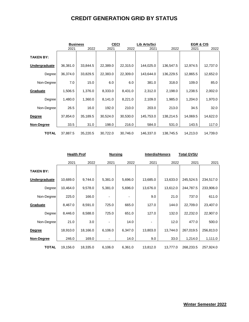### **CREDIT GENERATION GRID BY STATUS**

|                  |          | <b>Business</b> |          | <b>CECI</b> | Lib Arts/Sci |           | <b>EGR &amp; CIS</b> |          |  |
|------------------|----------|-----------------|----------|-------------|--------------|-----------|----------------------|----------|--|
|                  | 2021     | 2022            | 2021     | 2022        | 2021         | 2022      | 2021                 | 2022     |  |
| <b>TAKEN BY:</b> |          |                 |          |             |              |           |                      |          |  |
| Undergraduate    | 36,381.0 | 33,844.5        | 22,389.0 | 22,315.0    | 144,025.0    | 136,547.5 | 12,974.5             | 12,737.0 |  |
| Degree           | 36,374.0 | 33,829.5        | 22,383.0 | 22,309.0    | 143,644.0    | 136,229.5 | 12,865.5             | 12,652.0 |  |
| Non-Degree       | 7.0      | 15.0            | 6.0      | 6.0         | 381.0        | 318.0     | 109.0                | 85.0     |  |
| Graduate         | 1,506.5  | 1,376.0         | 8,333.0  | 8,431.0     | 2,312.0      | 2,198.0   | 1,238.5              | 2,002.0  |  |
| Degree           | 1,480.0  | 1,360.0         | 8,141.0  | 8,221.0     | 2,109.0      | 1,985.0   | 1,204.0              | 1,970.0  |  |
| Non-Degree       | 26.5     | 16.0            | 192.0    | 210.0       | 203.0        | 213.0     | 34.5                 | 32.0     |  |
| <b>Degree</b>    | 37,854.0 | 35,189.5        | 30,524.0 | 30,530.0    | 145,753.0    | 138,214.5 | 14,069.5             | 14,622.0 |  |
| Non-Degree       | 33.5     | 31.0            | 198.0    | 216.0       | 584.0        | 531.0     | 143.5                | 117.0    |  |
| <b>TOTAL</b>     | 37,887.5 | 35,220.5        | 30,722.0 | 30,746.0    | 146,337.0    | 138,745.5 | 14,213.0             | 14,739.0 |  |

|                  | <b>Health Prof</b> |          |         | <b>Nursing</b> |          | <b>Interdis/Honors</b> | <u>Total GVSU</u> |           |
|------------------|--------------------|----------|---------|----------------|----------|------------------------|-------------------|-----------|
|                  | 2021               | 2022     | 2021    | 2022           | 2021     | 2022                   | 2021              | 2021      |
| <b>TAKEN BY:</b> |                    |          |         |                |          |                        |                   |           |
| Undergraduate    | 10,689.0           | 9,744.0  | 5,381.0 | 5,696.0        | 13,685.0 | 13,633.0               | 245,524.5         | 234,517.0 |
| Degree           | 10,464.0           | 9,578.0  | 5,381.0 | 5,696.0        | 13,676.0 | 13,612.0               | 244,787.5         | 233,906.0 |
| Non-Degree       | 225.0              | 166.0    |         |                | 9.0      | 21.0                   | 737.0             | 611.0     |
| Graduate         | 8,467.0            | 8,591.0  | 725.0   | 665.0          | 127.0    | 144.0                  | 22,709.0          | 23,407.0  |
| Degree           | 8,446.0            | 8,588.0  | 725.0   | 651.0          | 127.0    | 132.0                  | 22,232.0          | 22,907.0  |
| Non-Degree       | 21.0               | 3.0      |         | 14.0           |          | 12.0                   | 477.0             | 500.0     |
| <b>Degree</b>    | 18,910.0           | 18,166.0 | 6,106.0 | 6,347.0        | 13,803.0 | 13,744.0               | 267,019.5         | 256,813.0 |
| Non-Degree       | 246.0              | 169.0    |         | 14.0           | 9.0      | 33.0                   | 1,214.0           | 1,111.0   |
| <b>TOTAL</b>     | 19,156.0           | 18,335.0 | 6,106.0 | 6,361.0        | 13,812.0 | 13,777.0               | 268,233.5         | 257,924.0 |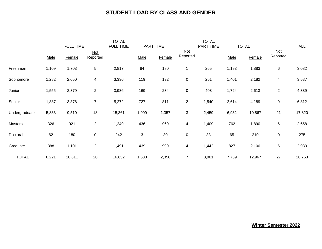#### **STUDENT LOAD BY CLASS AND GENDER**

|               |       | <b>FULL TIME</b> |                 | <b>TOTAL</b><br><b>FULL TIME</b><br><b>PART TIME</b> |                           |        |                 | <b>TOTAL</b><br><b>PART TIME</b> | <b>TOTAL</b> |        |                   | <u>ALL</u> |
|---------------|-------|------------------|-----------------|------------------------------------------------------|---------------------------|--------|-----------------|----------------------------------|--------------|--------|-------------------|------------|
|               | Male  | Female           | Not<br>Reported |                                                      | Male                      | Female | Not<br>Reported |                                  | Male         | Female | $Not$<br>Reported |            |
| Freshman      | 1,109 | 1,703            | 5               | 2,817                                                | 84                        | 180    | $\mathbf 1$     | 265                              | 1,193        | 1,883  | $\,6\,$           | 3,082      |
| Sophomore     | 1,282 | 2,050            | 4               | 3,336                                                | 119                       | 132    | $\pmb{0}$       | 251                              | 1,401        | 2,182  | 4                 | 3,587      |
| Junior        | 1,555 | 2,379            | $\overline{2}$  | 3,936                                                | 169                       | 234    | $\pmb{0}$       | 403                              | 1,724        | 2,613  | $\overline{c}$    | 4,339      |
| Senior        | 1,887 | 3,378            | $\overline{7}$  | 5,272                                                | 727                       | 811    | $\overline{2}$  | 1,540                            | 2,614        | 4,189  | 9                 | 6,812      |
| Undergraduate | 5,833 | 9,510            | 18              | 15,361                                               | 1,099                     | 1,357  | 3               | 2,459                            | 6,932        | 10,867 | 21                | 17,820     |
| Masters       | 326   | 921              | $\overline{a}$  | 1,249                                                | 436                       | 969    | $\overline{4}$  | 1,409                            | 762          | 1,890  | $\,6$             | 2,658      |
| Doctoral      | 62    | 180              | $\mathbf 0$     | 242                                                  | $\ensuremath{\mathsf{3}}$ | 30     | $\pmb{0}$       | 33                               | 65           | 210    | $\pmb{0}$         | 275        |
| Graduate      | 388   | 1,101            | $\overline{2}$  | 1,491                                                | 439                       | 999    | 4               | 1,442                            | 827          | 2,100  | $\,6$             | 2,933      |
| <b>TOTAL</b>  | 6,221 | 10,611           | 20              | 16,852                                               | 1,538                     | 2,356  | $\overline{7}$  | 3,901                            | 7,759        | 12,967 | 27                | 20,753     |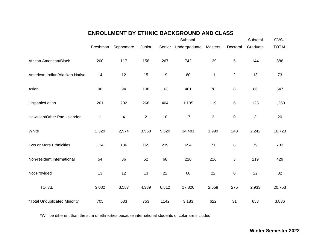### **ENROLLMENT BY ETHNIC BACKGROUND AND CLASS**

|                                     |          |           |                |        | Subtotal      |                |                | Subtotal | GVSU         |
|-------------------------------------|----------|-----------|----------------|--------|---------------|----------------|----------------|----------|--------------|
|                                     | Freshman | Sophomore | Junior         | Senior | Undergraduate | <b>Masters</b> | Doctoral       | Graduate | <b>TOTAL</b> |
| African American/Black              | 200      | 117       | 158            | 267    | 742           | 139            | $\sqrt{5}$     | 144      | 886          |
| American Indian/Alaskan Native      | 14       | 12        | 15             | 19     | 60            | 11             | $\overline{c}$ | 13       | 73           |
| Asian                               | 96       | 94        | 108            | 163    | 461           | 78             | 8              | 86       | 547          |
| Hispanic/Latino                     | 261      | 202       | 268            | 404    | 1,135         | 119            | 6              | 125      | 1,260        |
| Hawaiian/Other Pac. Islander        | 1        | 4         | $\overline{2}$ | 10     | 17            | 3              | $\pmb{0}$      | 3        | 20           |
| White                               | 2,329    | 2,974     | 3,558          | 5,620  | 14,481        | 1,999          | 243            | 2,242    | 16,723       |
| Two or More Ethnicities             | 114      | 136       | 165            | 239    | 654           | 71             | 8              | 79       | 733          |
| Non-resident International          | 54       | 36        | 52             | 68     | 210           | 216            | $\sqrt{3}$     | 219      | 429          |
| Not Provided                        | 13       | 12        | 13             | 22     | 60            | 22             | $\pmb{0}$      | 22       | 82           |
| <b>TOTAL</b>                        | 3,082    | 3,587     | 4,339          | 6,812  | 17,820        | 2,658          | 275            | 2,933    | 20,753       |
| <i>*Total Unduplicated Minority</i> | 705      | 583       | 753            | 1142   | 3,183         | 622            | 31             | 653      | 3,836        |

\*Will be different than the sum of ethnicities because international students of color are included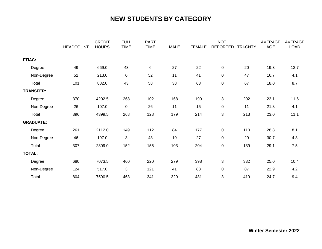# **NEW STUDENTS BY CATEGORY**

|                  |                  | <b>CREDIT</b> | <b>FULL</b> | <b>PART</b> |             | <b>NOT</b>    |                 |                 | AVERAGE    | <b>AVERAGE</b> |
|------------------|------------------|---------------|-------------|-------------|-------------|---------------|-----------------|-----------------|------------|----------------|
|                  | <b>HEADCOUNT</b> | <b>HOURS</b>  | <b>TIME</b> | <b>TIME</b> | <b>MALE</b> | <b>FEMALE</b> | <b>REPORTED</b> | <b>TRI-CNTY</b> | <b>AGE</b> | <b>LOAD</b>    |
| <b>FTIAC:</b>    |                  |               |             |             |             |               |                 |                 |            |                |
| Degree           | 49               | 669.0         | 43          | 6           | 27          | 22            | 0               | 20              | 19.3       | 13.7           |
| Non-Degree       | 52               | 213.0         | $\pmb{0}$   | 52          | 11          | 41            | 0               | 47              | 16.7       | 4.1            |
| Total            | 101              | 882.0         | 43          | 58          | 38          | 63            | 0               | 67              | 18.0       | 8.7            |
| <b>TRANSFER:</b> |                  |               |             |             |             |               |                 |                 |            |                |
| Degree           | 370              | 4292.5        | 268         | 102         | 168         | 199           | 3               | 202             | 23.1       | 11.6           |
| Non-Degree       | 26               | 107.0         | $\pmb{0}$   | 26          | 11          | 15            | 0               | 11              | 21.3       | 4.1            |
| Total            | 396              | 4399.5        | 268         | 128         | 179         | 214           | 3               | 213             | 23.0       | 11.1           |
| <b>GRADUATE:</b> |                  |               |             |             |             |               |                 |                 |            |                |
| Degree           | 261              | 2112.0        | 149         | 112         | 84          | 177           | 0               | 110             | 28.8       | 8.1            |
| Non-Degree       | 46               | 197.0         | 3           | 43          | 19          | 27            | 0               | 29              | 30.7       | 4.3            |
| Total            | 307              | 2309.0        | 152         | 155         | 103         | 204           | 0               | 139             | 29.1       | 7.5            |
| <b>TOTAL:</b>    |                  |               |             |             |             |               |                 |                 |            |                |
| Degree           | 680              | 7073.5        | 460         | 220         | 279         | 398           | 3               | 332             | 25.0       | 10.4           |
| Non-Degree       | 124              | 517.0         | $\sqrt{3}$  | 121         | 41          | 83            | 0               | 87              | 22.9       | 4.2            |
| Total            | 804              | 7590.5        | 463         | 341         | 320         | 481           | 3               | 419             | 24.7       | 9.4            |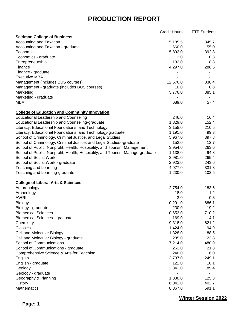|                                                                               | <b>Credit Hours</b> | <b>FTE Students</b>      |
|-------------------------------------------------------------------------------|---------------------|--------------------------|
| <b>Seidman College of Business</b>                                            |                     |                          |
| <b>Accounting and Taxation</b>                                                | 5,185.5             | 345.7                    |
| Accounting and Taxation - graduate                                            | 660.0               | 55.0                     |
| Economics                                                                     | 5,892.0             | 392.8                    |
| Economics - graduate                                                          | 3.0                 | 0.3                      |
| Entrepreneurship                                                              | 132.0               | 8.8                      |
| Finance                                                                       | 4,297.0             | 286.5                    |
| Finance - graduate                                                            |                     |                          |
| <b>Executive MBA</b>                                                          |                     |                          |
| Management (includes BUS courses)                                             | 12,576.0            | 838.4                    |
| Management - graduate (includes BUS courses)                                  | 10.0                | 0.8                      |
| Marketing                                                                     | 5,776.0             | 385.1                    |
| Marketing - graduate                                                          |                     | $\blacksquare$           |
| MBA                                                                           | 689.0               | 57.4                     |
| <b>College of Education and Community Innovation</b>                          |                     |                          |
| <b>Educational Leadership and Counseling</b>                                  | 246.0               | 16.4                     |
| Educational Leadership and Counseling-graduate                                | 1,829.0             | 152.4                    |
| Literacy, Educational Foundations, and Technology                             | 3,158.0             | 210.5                    |
|                                                                               |                     | 99.3                     |
| Literacy, Educational Foundations, and Technology-graduate                    | 1,191.0             |                          |
| School of Criminology, Criminal Justice, and Legal Studies                    | 5,967.0             | 397.8                    |
| School of Criminology, Criminal Justice, and Legal Studies--graduate          | 152.0               | 12.7                     |
| School of Public, Nonprofit, Health, Hospitality, and Tourism Management      | 3,954.0             | 263.6                    |
| School of Public, Nonprofit, Health, Hospitality, and Tourism Manage-graduate | 1,138.0             | 94.8                     |
| School of Social Work                                                         | 3,981.0             | 265.4                    |
| School of Social Work - graduate                                              | 2,923.0             | 243.6                    |
| <b>Teaching and Learning</b>                                                  | 4,977.0             | 331.8                    |
| Teaching and Learning-graduate                                                | 1,230.0             | 102.5                    |
| <b>College of Liberal Arts &amp; Sciences</b>                                 |                     |                          |
| Anthropology                                                                  | 2,754.0             | 183.6                    |
| Archeology                                                                    | 18.0                | 1.2                      |
| <b>AWRI</b>                                                                   | 3.0                 | 0.3                      |
| Biology                                                                       | 10,291.0            | 686.1                    |
| Biology - graduate                                                            | 230.0               | 19.2                     |
| <b>Biomedical Sciences</b>                                                    | 10,653.0            | 710.2                    |
| <b>Biomedical Sciences - graduate</b>                                         | 169.0               | 14.1                     |
| Chemistry                                                                     | 9,318.0             | 621.2                    |
| Classics                                                                      | 1,424.0             | 94.9                     |
| Cell and Molecular Biology                                                    | 1,328.0             | 88.5                     |
| Cell and Molecular Biology - graduate                                         | 285.0               | 23.8                     |
| <b>School of Communications</b>                                               | 7,214.0             | 480.9                    |
| School of Communications - graduate                                           | 262.0               | 21.8                     |
| Comprehensive Science & Arts for Teaching                                     | 240.0               | 16.0                     |
| English                                                                       | 3,737.0             | 249.1                    |
| English - graduate                                                            | 121.0               | 10.1                     |
| Geology                                                                       | 2,841.0             | 189.4                    |
| Geology - graduate                                                            |                     | $\overline{\phantom{a}}$ |
| Geography & Planning                                                          | 1,880.0             | 125.3                    |
| History                                                                       | 6,041.0             | 402.7                    |
| <b>Mathematics</b>                                                            | 8,867.0             | 591.1                    |
|                                                                               |                     |                          |

**Winter Session 2022**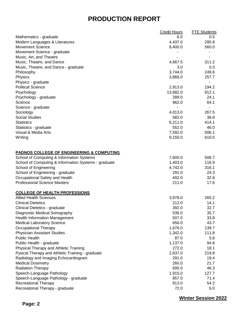|                                                      | <b>Credit Hours</b> | <b>FTE Students</b> |
|------------------------------------------------------|---------------------|---------------------|
| Mathematics - graduate                               | 6.0                 | 0.5                 |
| Modern Languages & Literatures                       | 4,437.0             | 295.8               |
| <b>Movement Science</b>                              | 8,400.0             | 560.0               |
| Movement Science - graduate                          |                     |                     |
| Music, Art, and Theatre                              |                     |                     |
| Music, Theatre, and Dance                            | 4,667.5             | 311.2               |
| Music, Theatre, and Dance - graduate                 | 3.0                 | 0.3                 |
| Philosophy                                           | 3,744.0             | 249.6               |
| Physics                                              | 3,866.0             | 257.7               |
| Physics - graduate                                   |                     | $\blacksquare$      |
| <b>Political Science</b>                             | 2,913.0             | 194.2               |
| Psychology                                           | 13,682.0            | 912.1               |
| Psychology - graduate                                | 289.0               | 24.1                |
| Science                                              | 962.0               | 64.1                |
| Science - graduate                                   |                     |                     |
| Sociology                                            | 4,013.0             | 267.5               |
| <b>Social Studies</b>                                | 582.0               | 38.8                |
| <b>Statistics</b>                                    | 6,211.0             | 414.1               |
| Statistics - graduate                                | 552.0               | 46.0                |
| Visual & Media Arts                                  | 7,592.0             | 506.1               |
| Writing                                              | 9,150.0             | 610.0               |
| <b>PADNOS COLLEGE OF ENGINEERING &amp; COMPUTING</b> |                     |                     |
| School of Computing & Information Systems            | 7,600.0             | 506.7               |
| School of Computing & Information Systems - graduate | 1,403.0             | 116.9               |
| School of Engineering                                | 4,742.0             | 316.1               |
| School of Engineering - graduate                     | 291.0               | 24.3                |
| Occupational Safety and Health                       | 492.0               | 32.8                |
| <b>Professional Science Masters</b>                  | 211.0               | 17.6                |
| <b>COLLEGE OF HEALTH PROFESSIONS</b>                 |                     |                     |
| <b>Allied Health Sciences</b>                        | 3,978.0             | 265.2               |
| <b>Clinical Dietetics</b>                            | 212.0               | 14.1                |
| Clinical Dietetics - graduate                        | 392.0               | 32.7                |
| Diagnostic Medical Sonography                        | 536.0               | 35.7                |
| <b>Health Information Management</b>                 | 507.0               | 33.8                |
| <b>Medical Laboratory Science</b>                    | 656.0               | 43.7                |
| Occupational Therapy                                 | 1,676.0             | 139.7               |
| <b>Physician Assistant Studies</b>                   | 1,342.0             | 111.8               |
| <b>Public Health</b>                                 | 87.0                | 5.8                 |
| Public Health - graduate                             | 1,137.0             | 94.8                |
| Physical Therapy and Athletic Training               | 272.0               | 18.1                |
| Pysical Therapy and Athletic Training - graduate     | 2,637.0             | 219.8               |
| Radiology and Imaging Echocardiogram                 | 291.0               | 19.4                |
| <b>Medical Dosimetry</b>                             | 260.0               | 21.7                |
| <b>Radiation Therapy</b>                             | 695.0               | 46.3                |
| Speech-Language Pathology                            | 1,915.0             | 127.7               |
| Speech-Language Pathology - graduate                 | 857.0               | 71.4                |
| <b>Recreational Therapy</b>                          | 813.0               | 54.2                |
| Recreational Therapy - graduate                      | 72.0                | 6.0                 |

**Winter Session 2022**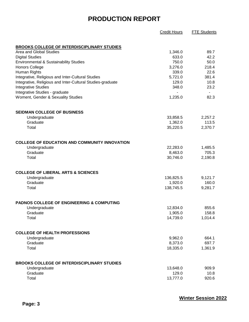|                                                            | Credit Hours | <b>FTE Students</b> |
|------------------------------------------------------------|--------------|---------------------|
| <b>BROOKS COLLEGE OF INTERDISCIPLINARY STUDIES</b>         |              |                     |
| Area and Global Studies                                    | 1,346.0      | 89.7                |
| <b>Digital Studies</b>                                     | 633.0        | 42.2                |
| <b>Environmental &amp; Sustainability Studies</b>          | 750.0        | 50.0                |
| <b>Honors College</b>                                      | 3,276.0      | 218.4               |
| Human Rights                                               | 339.0        | 22.6                |
| Integrative, Religious and Inter-Cultural Studies          | 5,721.0      | 381.4               |
| Integrative, Religious and Inter-Cultural Studies-graduate | 129.0        | 10.8                |
| <b>Integrative Studies</b>                                 | 348.0        | 23.2                |
| Integrative Studies - graduate                             |              | $\blacksquare$      |
| Woment, Gender & Sexuality Studies                         | 1,235.0      | 82.3                |
| SEIDMAN COLLEGE OF BUSINESS                                |              |                     |
| Undergraduate                                              | 33,858.5     | 2,257.2             |
| Graduate                                                   | 1,362.0      | 113.5               |
| Total                                                      | 35,220.5     | 2,370.7             |
| <b>COLLEGE OF EDUCATION AND COMMUNITY INNOVATION</b>       |              |                     |
| Undergraduate                                              | 22,283.0     | 1,485.5             |
| Graduate                                                   | 8,463.0      | 705.3               |
| Total                                                      | 30,746.0     | 2,190.8             |
| <b>COLLEGE OF LIBERAL ARTS &amp; SCIENCES</b>              |              |                     |
| Undergraduate                                              | 136,825.5    | 9,121.7             |
| Graduate                                                   | 1,920.0      | 160.0               |
| Total                                                      | 138,745.5    | 9,281.7             |
| <b>PADNOS COLLEGE OF ENGINEERING &amp; COMPUTING</b>       |              |                     |
| Undergraduate                                              | 12,834.0     | 855.6               |
| Graduate                                                   | 1,905.0      | 158.8               |
| Total                                                      | 14,739.0     | 1,014.4             |
| <b>COLLEGE OF HEALTH PROFESSIONS</b>                       |              |                     |
| Undergraduate                                              | 9,962.0      | 664.1               |
| Graduate                                                   | 8,373.0      | 697.7               |
| Total                                                      | 18,335.0     | 1,361.9             |
| <b>BROOKS COLLEGE OF INTERDISCIPLINARY STUDIES</b>         |              |                     |
| Undergraduate                                              | 13,648.0     | 909.9               |
| Graduate                                                   | 129.0        | 10.8                |
| Total                                                      | 13,777.0     | 920.6               |